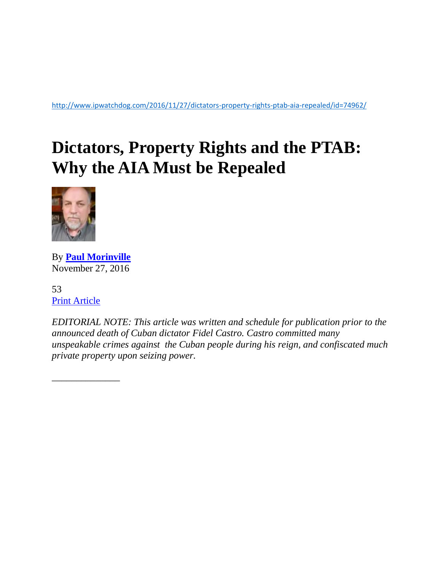<http://www.ipwatchdog.com/2016/11/27/dictators-property-rights-ptab-aia-repealed/id=74962/>

## **Dictators, Property Rights and the PTAB: Why the AIA Must be Repealed**



By **[Paul Morinville](http://www.ipwatchdog.com/author/paul-morinville/)** November 27, 2016

53 [Print Article](javascript:window.print();)

\_\_\_\_\_\_\_\_\_\_\_\_\_\_

*EDITORIAL NOTE: This article was written and schedule for publication prior to the announced death of Cuban dictator Fidel Castro. Castro committed many unspeakable crimes against the Cuban people during his reign, and confiscated much private property upon seizing power.*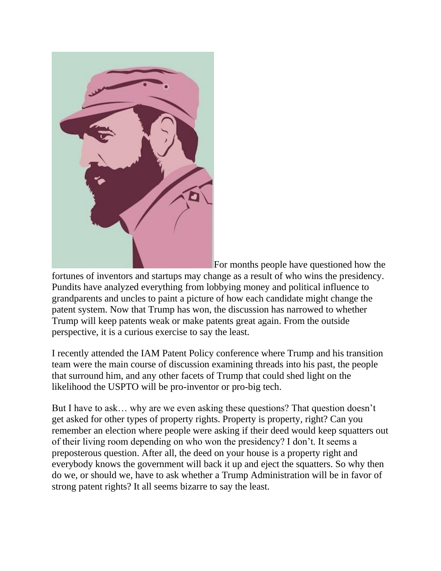

For months people have questioned how the

fortunes of inventors and startups may change as a result of who wins the presidency. Pundits have analyzed everything from lobbying money and political influence to grandparents and uncles to paint a picture of how each candidate might change the patent system. Now that Trump has won, the discussion has narrowed to whether Trump will keep patents weak or make patents great again. From the outside perspective, it is a curious exercise to say the least.

I recently attended the IAM Patent Policy conference where Trump and his transition team were the main course of discussion examining threads into his past, the people that surround him, and any other facets of Trump that could shed light on the likelihood the USPTO will be pro-inventor or pro-big tech.

But I have to ask… why are we even asking these questions? That question doesn't get asked for other types of property rights. Property is property, right? Can you remember an election where people were asking if their deed would keep squatters out of their living room depending on who won the presidency? I don't. It seems a preposterous question. After all, the deed on your house is a property right and everybody knows the government will back it up and eject the squatters. So why then do we, or should we, have to ask whether a Trump Administration will be in favor of strong patent rights? It all seems bizarre to say the least.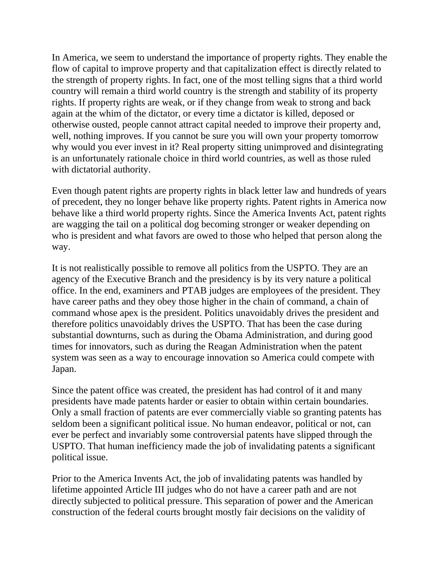In America, we seem to understand the importance of property rights. They enable the flow of capital to improve property and that capitalization effect is directly related to the strength of property rights. In fact, one of the most telling signs that a third world country will remain a third world country is the strength and stability of its property rights. If property rights are weak, or if they change from weak to strong and back again at the whim of the dictator, or every time a dictator is killed, deposed or otherwise ousted, people cannot attract capital needed to improve their property and, well, nothing improves. If you cannot be sure you will own your property tomorrow why would you ever invest in it? Real property sitting unimproved and disintegrating is an unfortunately rationale choice in third world countries, as well as those ruled with dictatorial authority.

Even though patent rights are property rights in black letter law and hundreds of years of precedent, they no longer behave like property rights. Patent rights in America now behave like a third world property rights. Since the America Invents Act, patent rights are wagging the tail on a political dog becoming stronger or weaker depending on who is president and what favors are owed to those who helped that person along the way.

It is not realistically possible to remove all politics from the USPTO. They are an agency of the Executive Branch and the presidency is by its very nature a political office. In the end, examiners and PTAB judges are employees of the president. They have career paths and they obey those higher in the chain of command, a chain of command whose apex is the president. Politics unavoidably drives the president and therefore politics unavoidably drives the USPTO. That has been the case during substantial downturns, such as during the Obama Administration, and during good times for innovators, such as during the Reagan Administration when the patent system was seen as a way to encourage innovation so America could compete with Japan.

Since the patent office was created, the president has had control of it and many presidents have made patents harder or easier to obtain within certain boundaries. Only a small fraction of patents are ever commercially viable so granting patents has seldom been a significant political issue. No human endeavor, political or not, can ever be perfect and invariably some controversial patents have slipped through the USPTO. That human inefficiency made the job of invalidating patents a significant political issue.

Prior to the America Invents Act, the job of invalidating patents was handled by lifetime appointed Article III judges who do not have a career path and are not directly subjected to political pressure. This separation of power and the American construction of the federal courts brought mostly fair decisions on the validity of